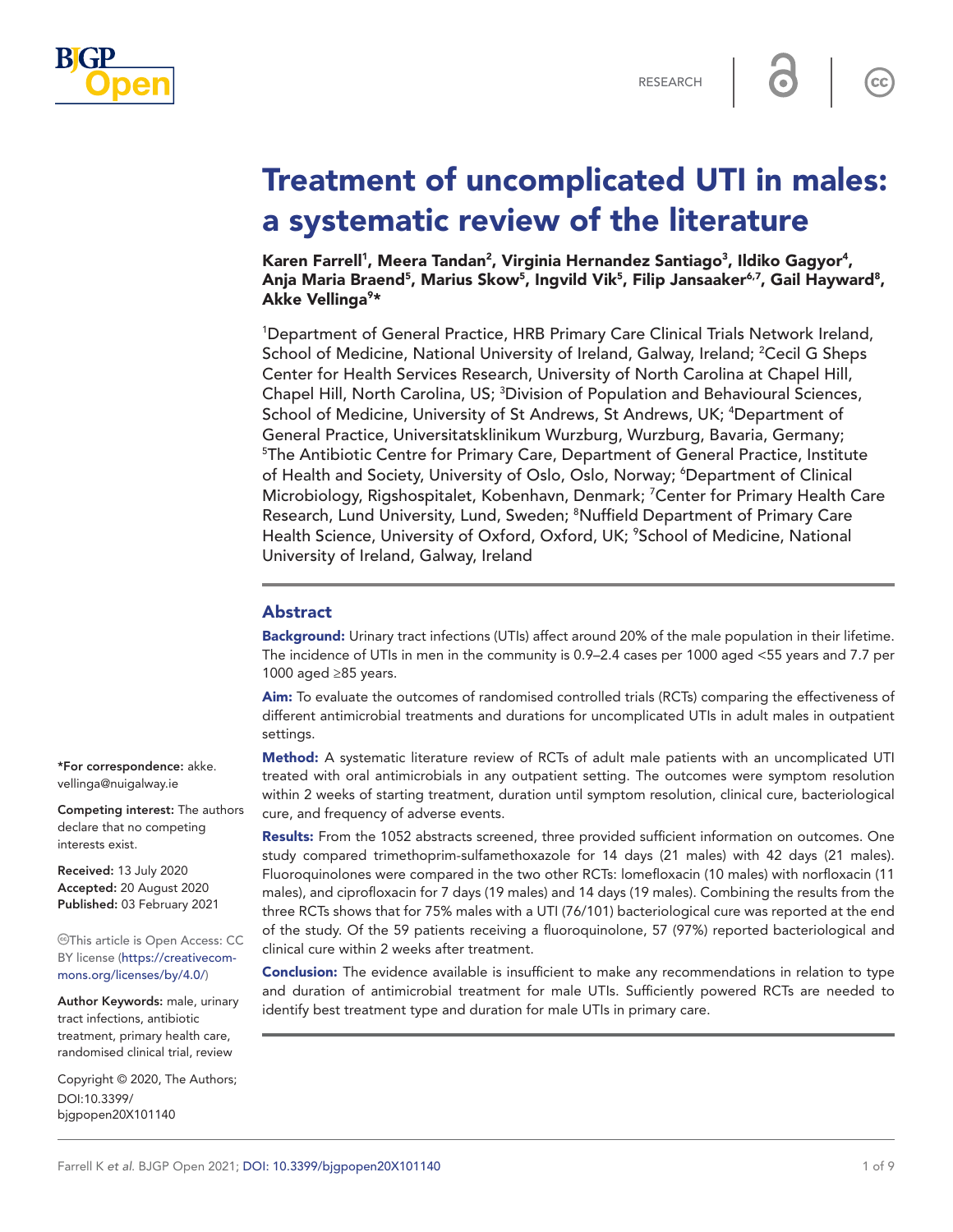

 $cc$ 

# Treatment of uncomplicated UTI in males: a systematic review of the literature

Karen Farrell<sup>1</sup>, Meera Tandan<sup>2</sup>, Virginia Hernandez Santiago<sup>3</sup>, Ildiko Gagyor<sup>4</sup>, Anja Maria Braend<sup>5</sup>, Marius Skow<sup>5</sup>, Ingvild Vik<sup>5</sup>, Filip Jansaaker<sup>6,7</sup>, Gail Hayward<sup>8</sup>, Akke Vellinga<sup>9</sup>\*

<sup>1</sup>Department of General Practice, HRB Primary Care Clinical Trials Network Ireland, School of Medicine, National University of Ireland, Galway, Ireland; <sup>2</sup>Cecil G Sheps Center for Health Services Research, University of North Carolina at Chapel Hill, Chapel Hill, North Carolina, US; <sup>3</sup>Division of Population and Behavioural Sciences, School of Medicine, University of St Andrews, St Andrews, UK; <sup>4</sup>Department of General Practice, Universitatsklinikum Wurzburg, Wurzburg, Bavaria, Germany; <sup>5</sup>The Antibiotic Centre for Primary Care, Department of General Practice, Institute of Health and Society, University of Oslo, Oslo, Norway; <sup>6</sup>Department of Clinical Microbiology, Rigshospitalet, Kobenhavn, Denmark; <sup>7</sup>Center for Primary Health Care Research, Lund University, Lund, Sweden; <sup>8</sup>Nuffield Department of Primary Care Health Science, University of Oxford, Oxford, UK; <sup>9</sup>School of Medicine, National University of Ireland, Galway, Ireland

## Abstract

Background: Urinary tract infections (UTIs) affect around 20% of the male population in their lifetime. The incidence of UTIs in men in the community is 0.9–2.4 cases per 1000 aged <55 years and 7.7 per 1000 aged ≥85 years.

Aim: To evaluate the outcomes of randomised controlled trials (RCTs) comparing the effectiveness of different antimicrobial treatments and durations for uncomplicated UTIs in adult males in outpatient settings.

Method: A systematic literature review of RCTs of adult male patients with an uncomplicated UTI treated with oral antimicrobials in any outpatient setting. The outcomes were symptom resolution within 2 weeks of starting treatment, duration until symptom resolution, clinical cure, bacteriological cure, and frequency of adverse events.

Results: From the 1052 abstracts screened, three provided sufficient information on outcomes. One study compared trimethoprim-sulfamethoxazole for 14 days (21 males) with 42 days (21 males). Fluoroquinolones were compared in the two other RCTs: lomefloxacin (10 males) with norfloxacin (11 males), and ciprofloxacin for 7 days (19 males) and 14 days (19 males). Combining the results from the three RCTs shows that for 75% males with a UTI (76/101) bacteriological cure was reported at the end of the study. Of the 59 patients receiving a fluoroquinolone, 57 (97%) reported bacteriological and clinical cure within 2 weeks after treatment.

Conclusion: The evidence available is insufficient to make any recommendations in relation to type and duration of antimicrobial treatment for male UTIs. Sufficiently powered RCTs are needed to identify best treatment type and duration for male UTIs in primary care.

\*For correspondence: [akke.](mailto:akke.vellinga@nuigalway.ie) [vellinga@nuigalway.ie](mailto:akke.vellinga@nuigalway.ie)

Competing interest: The authors declare that no competing interests exist.

Received: 13 July 2020 Accepted: 20 August 2020 Published: 03 February 2021

This article is Open Access: CC BY license [\(https://creativecom](https://creativecommons.org/licenses/by/4.0/)[mons.org/licenses/by/4.0/\)](https://creativecommons.org/licenses/by/4.0/)

Author Keywords: male, urinary tract infections, antibiotic treatment, primary health care, randomised clinical trial, review

Copyright © 2020, The Authors; DOI:10.3399/ bjgpopen20X101140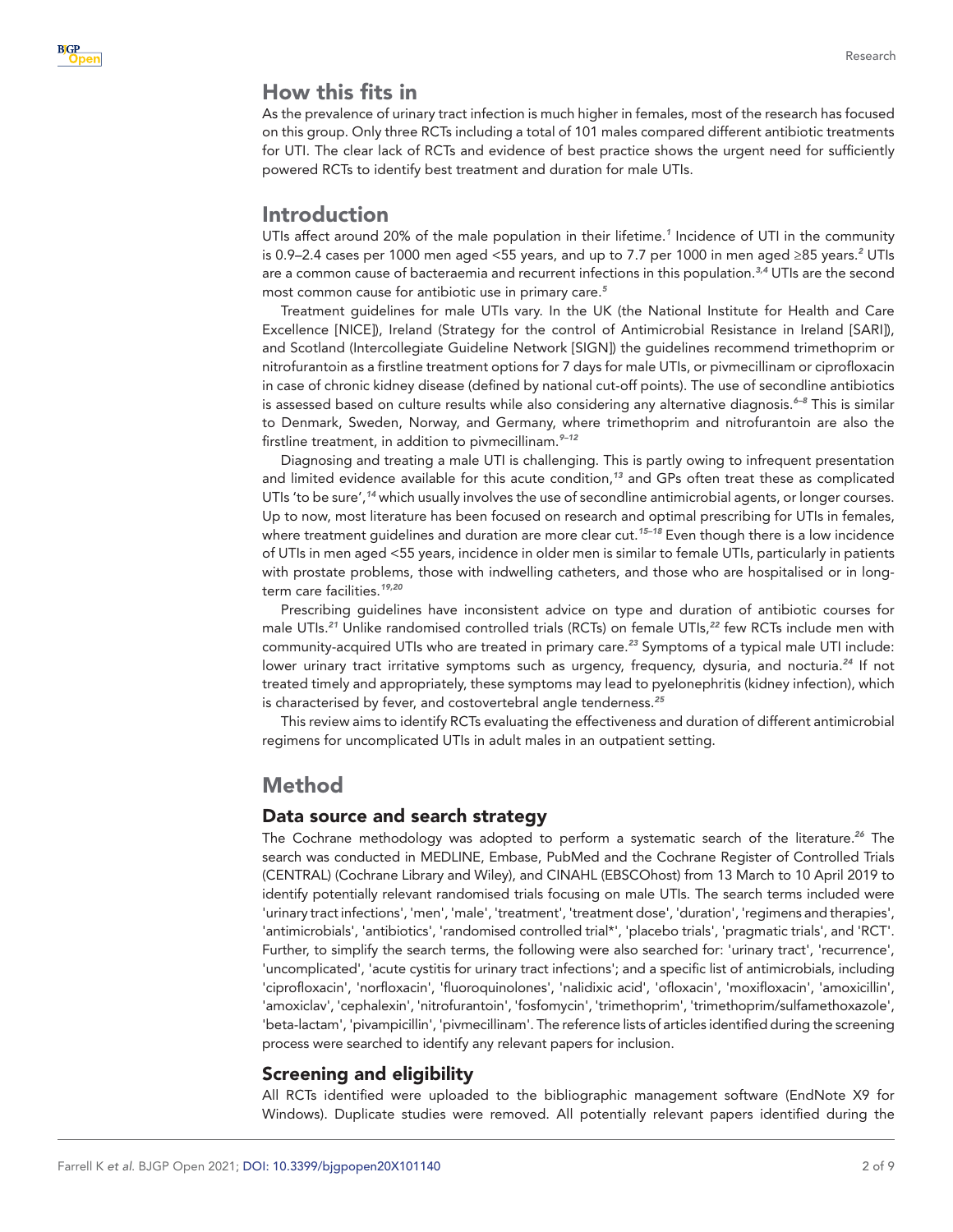# How this fits in

As the prevalence of urinary tract infection is much higher in females, most of the research has focused on this group. Only three RCTs including a total of 101 males compared different antibiotic treatments for UTI. The clear lack of RCTs and evidence of best practice shows the urgent need for sufficiently powered RCTs to identify best treatment and duration for male UTIs.

# Introduction

UTIs affect around 20% of the male population in their lifetime.*[1](#page-7-0)* Incidence of UTI in the community is 0.9–[2](#page-7-1).4 cases per 1000 men aged <55 years, and up to 7.7 per 1000 in men aged ≥85 years.<sup>2</sup> UTIs are a common cause of bacteraemia and recurrent infections in this population.*[3,4](#page-7-2)* UTIs are the second most common cause for antibiotic use in primary care.*[5](#page-7-3)*

Treatment guidelines for male UTIs vary. In the UK (the National Institute for Health and Care Excellence [NICE]), Ireland (Strategy for the control of Antimicrobial Resistance in Ireland [SARI]), and Scotland (Intercollegiate Guideline Network [SIGN]) the guidelines recommend trimethoprim or nitrofurantoin as a firstline treatment options for 7 days for male UTIs, or pivmecillinam or ciprofloxacin in case of chronic kidney disease (defined by national cut-off points). The use of secondline antibiotics is assessed based on culture results while also considering any alternative diagnosis.*[6–8](#page-7-4)* This is similar to Denmark, Sweden, Norway, and Germany, where trimethoprim and nitrofurantoin are also the firstline treatment, in addition to pivmecillinam.*[9–12](#page-7-5)*

Diagnosing and treating a male UTI is challenging. This is partly owing to infrequent presentation and limited evidence available for this acute condition,*[13](#page-8-0)* and GPs often treat these as complicated UTIs 'to be sure',*[14](#page-8-1)* which usually involves the use of secondline antimicrobial agents, or longer courses. Up to now, most literature has been focused on research and optimal prescribing for UTIs in females, where treatment guidelines and duration are more clear cut.*[15–18](#page-8-2)* Even though there is a low incidence of UTIs in men aged <55 years, incidence in older men is similar to female UTIs, particularly in patients with prostate problems, those with indwelling catheters, and those who are hospitalised or in longterm care facilities.*[19,20](#page-8-3)*

Prescribing guidelines have inconsistent advice on type and duration of antibiotic courses for male UTIs.*[21](#page-8-4)* Unlike randomised controlled trials (RCTs) on female UTIs,*[22](#page-8-5)* few RCTs include men with community-acquired UTIs who are treated in primary care.*[23](#page-8-6)* Symptoms of a typical male UTI include: lower urinary tract irritative symptoms such as urgency, frequency, dysuria, and nocturia.*[24](#page-8-7)* If not treated timely and appropriately, these symptoms may lead to pyelonephritis (kidney infection), which is characterised by fever, and costovertebral angle tenderness.*[25](#page-8-8)*

This review aims to identify RCTs evaluating the effectiveness and duration of different antimicrobial regimens for uncomplicated UTIs in adult males in an outpatient setting.

## Method

## Data source and search strategy

The Cochrane methodology was adopted to perform a systematic search of the literature.*[26](#page-8-9)* The search was conducted in MEDLINE, Embase, PubMed and the Cochrane Register of Controlled Trials (CENTRAL) (Cochrane Library and Wiley), and CINAHL (EBSCOhost) from 13 March to 10 April 2019 to identify potentially relevant randomised trials focusing on male UTIs. The search terms included were 'urinary tract infections', 'men', 'male', 'treatment', 'treatment dose', 'duration', 'regimens and therapies', 'antimicrobials', 'antibiotics', 'randomised controlled trial\*', 'placebo trials', 'pragmatic trials', and 'RCT'. Further, to simplify the search terms, the following were also searched for: 'urinary tract', 'recurrence', 'uncomplicated', 'acute cystitis for urinary tract infections'; and a specific list of antimicrobials, including 'ciprofloxacin', 'norfloxacin', 'fluoroquinolones', 'nalidixic acid', 'ofloxacin', 'moxifloxacin', 'amoxicillin', 'amoxiclav', 'cephalexin', 'nitrofurantoin', 'fosfomycin', 'trimethoprim', 'trimethoprim/sulfamethoxazole', 'beta-lactam', 'pivampicillin', 'pivmecillinam'. The reference lists of articles identified during the screening process were searched to identify any relevant papers for inclusion.

## Screening and eligibility

All RCTs identified were uploaded to the bibliographic management software (EndNote X9 for Windows). Duplicate studies were removed. All potentially relevant papers identified during the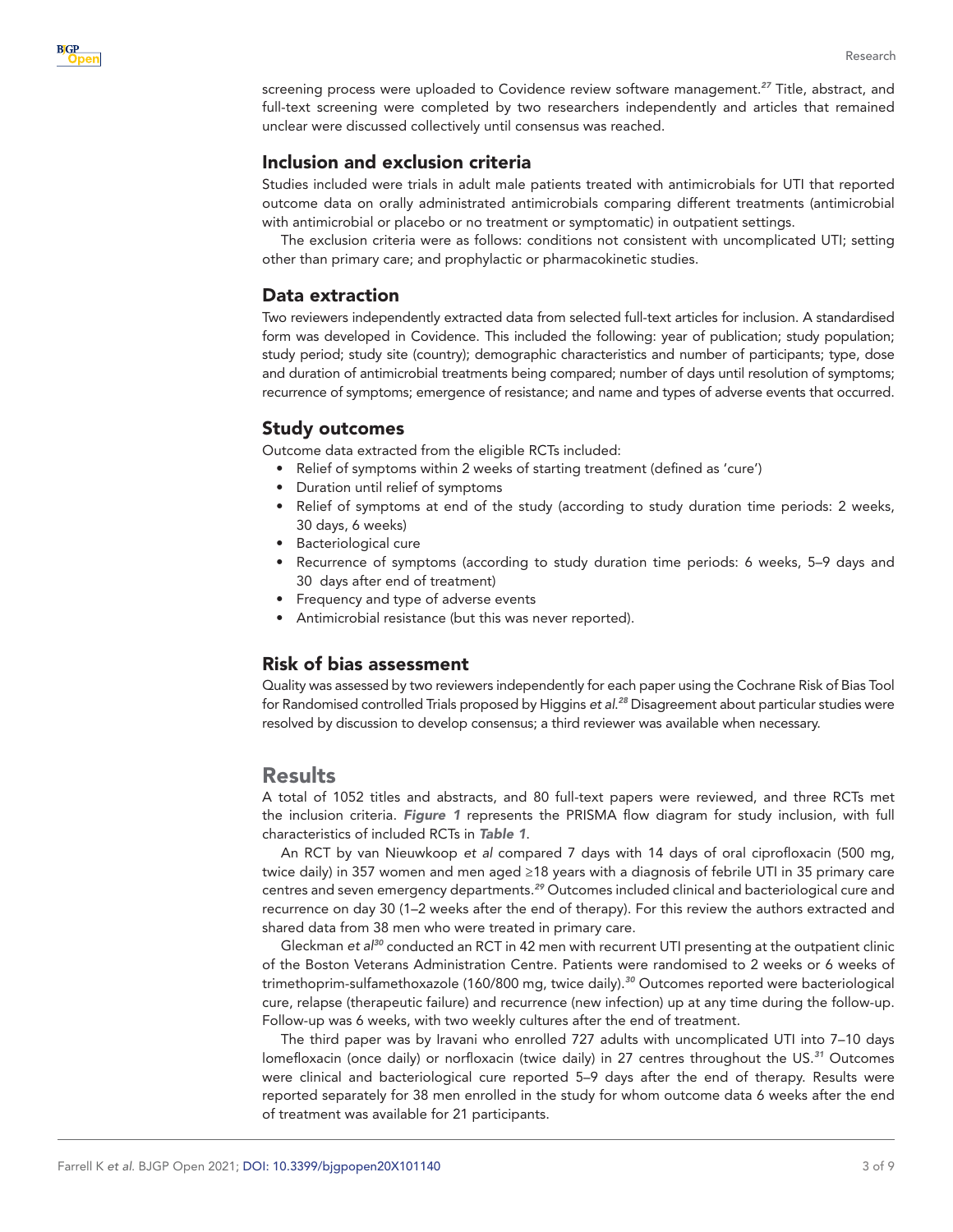

screening process were uploaded to Covidence review software management.*[27](#page-8-10)* Title, abstract, and full-text screening were completed by two researchers independently and articles that remained unclear were discussed collectively until consensus was reached.

## Inclusion and exclusion criteria

Studies included were trials in adult male patients treated with antimicrobials for UTI that reported outcome data on orally administrated antimicrobials comparing different treatments (antimicrobial with antimicrobial or placebo or no treatment or symptomatic) in outpatient settings.

The exclusion criteria were as follows: conditions not consistent with uncomplicated UTI; setting other than primary care; and prophylactic or pharmacokinetic studies.

## Data extraction

Two reviewers independently extracted data from selected full-text articles for inclusion. A standardised form was developed in Covidence. This included the following: year of publication; study population; study period; study site (country); demographic characteristics and number of participants; type, dose and duration of antimicrobial treatments being compared; number of days until resolution of symptoms; recurrence of symptoms; emergence of resistance; and name and types of adverse events that occurred.

## Study outcomes

Outcome data extracted from the eligible RCTs included:

- Relief of symptoms within 2 weeks of starting treatment (defined as 'cure')
- Duration until relief of symptoms
- • Relief of symptoms at end of the study (according to study duration time periods: 2 weeks, 30 days, 6 weeks)
- • Bacteriological cure
- Recurrence of symptoms (according to study duration time periods: 6 weeks, 5–9 days and 30 days after end of treatment)
- • Frequency and type of adverse events
- Antimicrobial resistance (but this was never reported).

## Risk of bias assessment

Quality was assessed by two reviewers independently for each paper using the Cochrane Risk of Bias Tool for Randomised controlled Trials proposed by Higgins *et al*. *[28](#page-8-11)* Disagreement about particular studies were resolved by discussion to develop consensus; a third reviewer was available when necessary.

## Results

A total of 1052 titles and abstracts, and 80 full-text papers were reviewed, and three RCTs met the inclusion criteria. *[Figure 1](#page-3-0)* represents the PRISMA flow diagram for study inclusion, with full characteristics of included RCTs in *[Table 1](#page-4-0)*.

An RCT by van Nieuwkoop *et al* compared 7 days with 14 days of oral ciprofloxacin (500 mg, twice daily) in 357 women and men aged ≥18 years with a diagnosis of febrile UTI in 35 primary care centres and seven emergency departments.*[29](#page-8-12)* Outcomes included clinical and bacteriological cure and recurrence on day 30 (1–2 weeks after the end of therapy). For this review the authors extracted and shared data from 38 men who were treated in primary care.

Gleckman *et al[30](#page-8-13)* conducted an RCT in 42 men with recurrent UTI presenting at the outpatient clinic of the Boston Veterans Administration Centre. Patients were randomised to 2 weeks or 6 weeks of trimethoprim-sulfamethoxazole (160/800 mg, twice daily).*[30](#page-8-13)* Outcomes reported were bacteriological cure, relapse (therapeutic failure) and recurrence (new infection) up at any time during the follow-up. Follow-up was 6 weeks, with two weekly cultures after the end of treatment.

The third paper was by Iravani who enrolled 727 adults with uncomplicated UTI into 7–10 days lomefloxacin (once daily) or norfloxacin (twice daily) in 27 centres throughout the US.*[31](#page-8-14)* Outcomes were clinical and bacteriological cure reported 5–9 days after the end of therapy. Results were reported separately for 38 men enrolled in the study for whom outcome data 6 weeks after the end of treatment was available for 21 participants.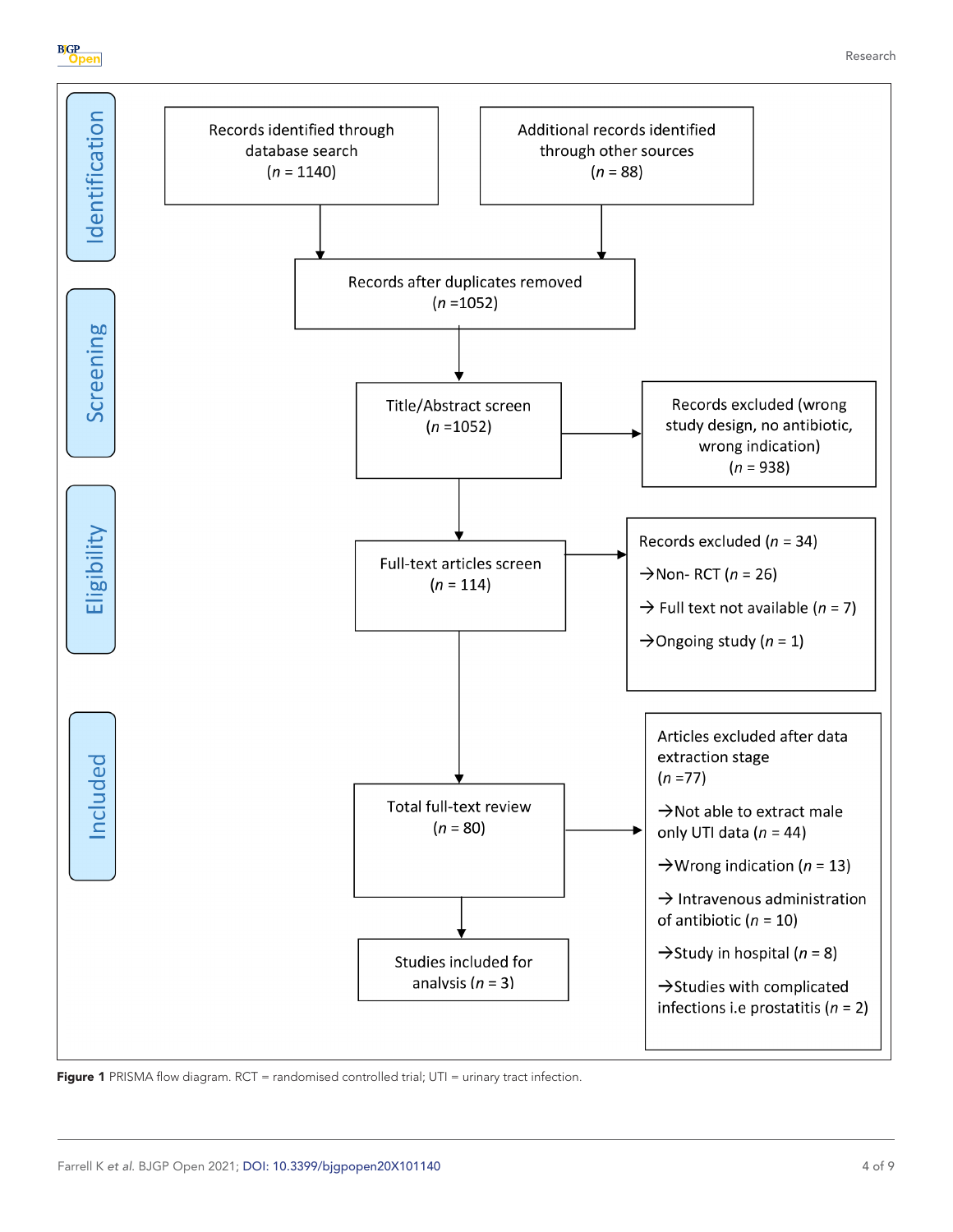



<span id="page-3-0"></span>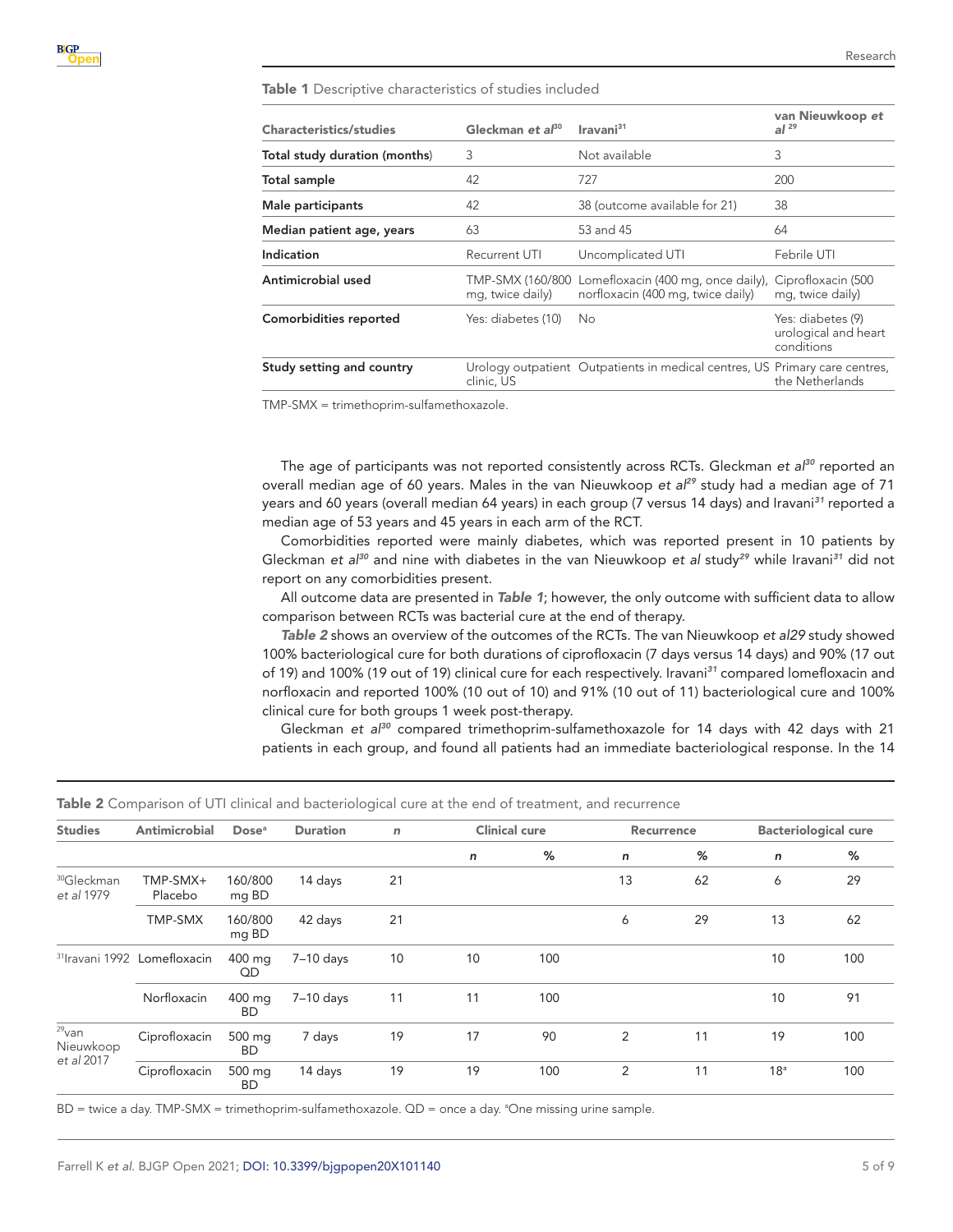## <span id="page-4-0"></span>Table 1 Descriptive characteristics of studies included

| Characteristics/studies       | Gleckman et $a^{80}$                 | Iravani <sup>31</sup>                                                                      | van Nieuwkoop et<br>al <sup>29</sup>                    |
|-------------------------------|--------------------------------------|--------------------------------------------------------------------------------------------|---------------------------------------------------------|
| Total study duration (months) | 3                                    | Not available                                                                              | 3                                                       |
| Total sample                  | 42                                   | 727                                                                                        | 200                                                     |
| Male participants             | 42                                   | 38 (outcome available for 21)                                                              | 38                                                      |
| Median patient age, years     | 63                                   | 53 and 45                                                                                  | 64                                                      |
| Indication                    | Recurrent UTI                        | Uncomplicated UTI                                                                          | Febrile UTI                                             |
| Antimicrobial used            | TMP-SMX (160/800<br>mg, twice daily) | Lomefloxacin (400 mg, once daily), Ciprofloxacin (500<br>norfloxacin (400 mg, twice daily) | mg, twice daily)                                        |
| Comorbidities reported        | Yes: diabetes (10)                   | No.                                                                                        | Yes: diabetes (9)<br>urological and heart<br>conditions |
| Study setting and country     | clinic. US                           | Urology outpatient Outpatients in medical centres, US Primary care centres,                | the Netherlands                                         |

TMP-SMX = trimethoprim-sulfamethoxazole.

The age of participants was not reported consistently across RCTs. Gleckman *et al[30](#page-8-13)* reported an overall median age of 60 years. Males in the van Nieuwkoop *et al[29](#page-8-12)* study had a median age of 71 years and 60 years (overall median 64 years) in each group (7 versus 14 days) and Iravani*[31](#page-8-14)* reported a median age of 53 years and 45 years in each arm of the RCT.

Comorbidities reported were mainly diabetes, which was reported present in 10 patients by Gleckman *et al[30](#page-8-13)* and nine with diabetes in the van Nieuwkoop *et al* study*[29](#page-8-12)* while Iravani*[31](#page-8-14)* did not report on any comorbidities present.

All outcome data are presented in *[Table 1](#page-4-0)*; however, the only outcome with sufficient data to allow comparison between RCTs was bacterial cure at the end of therapy.

*[Table 2](#page-4-1)* shows an overview of the outcomes of the RCTs. The van Nieuwkoop *et a[l29](#page-8-12)* study showed 100% bacteriological cure for both durations of ciprofloxacin (7 days versus 14 days) and 90% (17 out of 19) and 100% (19 out of 19) clinical cure for each respectively. Iravani*[31](#page-8-14)* compared lomefloxacin and norfloxacin and reported 100% (10 out of 10) and 91% (10 out of 11) bacteriological cure and 100% clinical cure for both groups 1 week post-therapy.

Gleckman *et al[30](#page-8-13)* compared trimethoprim-sulfamethoxazole for 14 days with 42 days with 21 patients in each group, and found all patients had an immediate bacteriological response. In the 14

#### <span id="page-4-1"></span>Table 2 Comparison of UTI clinical and bacteriological cure at the end of treatment, and recurrence

| <b>Studies</b>                                 | Antimicrobial       | Dose <sup>a</sup>   | <b>Duration</b> | $\mathsf{n}$ |    | <b>Clinical cure</b> |              | Recurrence |                 | <b>Bacteriological cure</b> |
|------------------------------------------------|---------------------|---------------------|-----------------|--------------|----|----------------------|--------------|------------|-----------------|-----------------------------|
|                                                |                     |                     |                 |              | n  | ℅                    | $\mathsf{n}$ | %          | $\mathsf{n}$    | %                           |
| <sup>30</sup> Gleckman<br>et al 1979           | TMP-SMX+<br>Placebo | 160/800<br>mg BD    | 14 days         | 21           |    |                      | 13           | 62         | 6               | 29                          |
|                                                | TMP-SMX             | 160/800<br>mg BD    | 42 days         | 21           |    |                      | 6            | 29         | 13              | 62                          |
| <sup>31</sup> Iravani 1992 Lomefloxacin        |                     | 400 mg<br>QD        | $7-10$ days     | 10           | 10 | 100                  |              |            | 10              | 100                         |
|                                                | Norfloxacin         | 400 mg<br><b>BD</b> | $7-10$ days     | 11           | 11 | 100                  |              |            | 10              | 91                          |
| $29$ <sub>van</sub><br>Nieuwkoop<br>et al 2017 | Ciprofloxacin       | 500 mg<br>BD.       | 7 days          | 19           | 17 | 90                   | 2            | 11         | 19              | 100                         |
|                                                | Ciprofloxacin       | 500 mg<br><b>BD</b> | 14 days         | 19           | 19 | 100                  | 2            | 11         | 18 <sup>a</sup> | 100                         |

BD = twice a day. TMP-SMX = trimethoprim-sulfamethoxazole. QD = once a day. <sup>a</sup>One missing urine sample.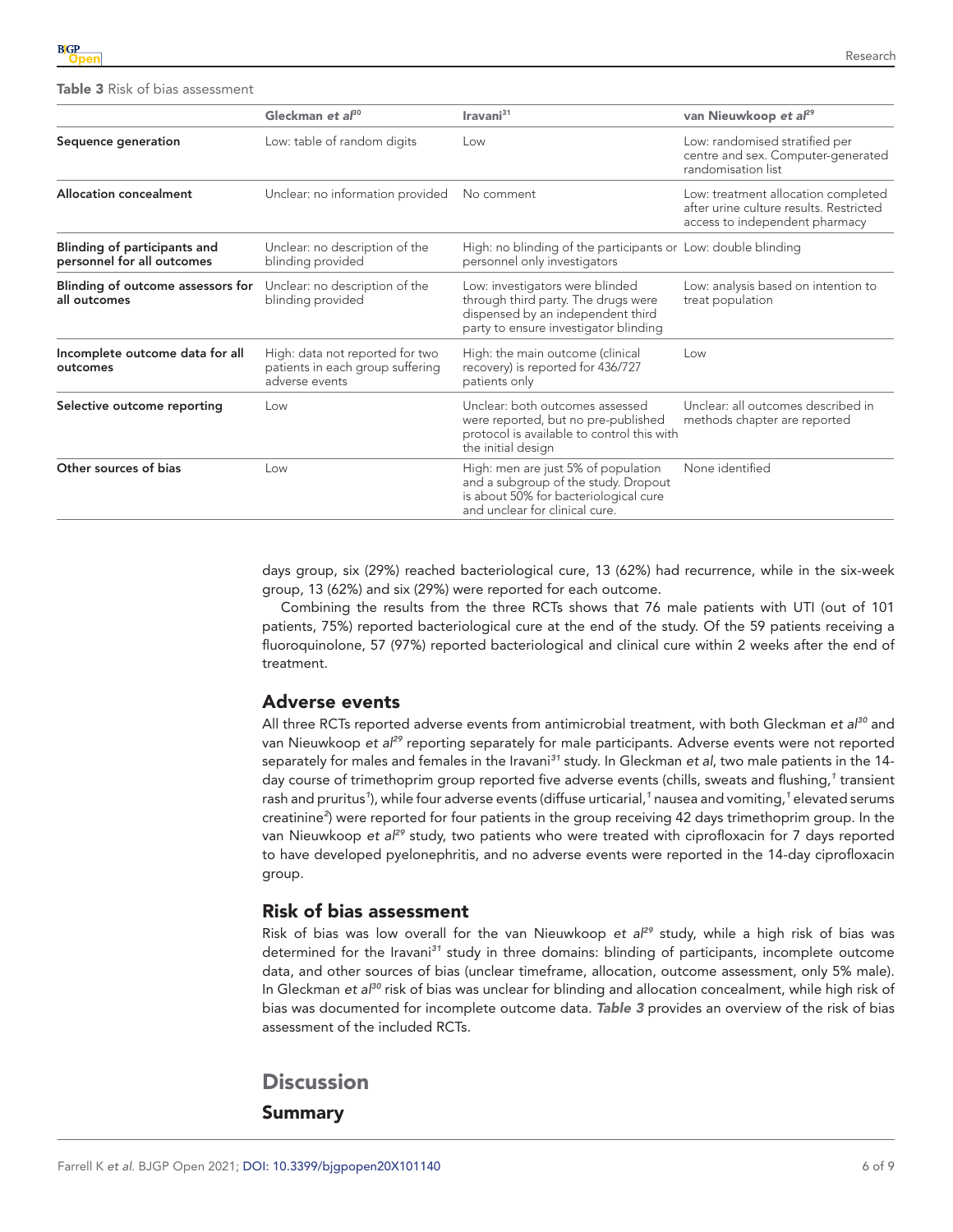<span id="page-5-0"></span>Table 3 Risk of bias assessment

|                                                            | Gleckman et al <sup>30</sup>                                                          | Iravani <sup>31</sup>                                                                                                                                  | van Nieuwkoop et al <sup>29</sup>                                                                                |
|------------------------------------------------------------|---------------------------------------------------------------------------------------|--------------------------------------------------------------------------------------------------------------------------------------------------------|------------------------------------------------------------------------------------------------------------------|
| Sequence generation                                        | Low: table of random digits                                                           | Low                                                                                                                                                    | Low: randomised stratified per<br>centre and sex. Computer-generated<br>randomisation list                       |
| <b>Allocation concealment</b>                              | Unclear: no information provided                                                      | No comment                                                                                                                                             | Low: treatment allocation completed<br>after urine culture results. Restricted<br>access to independent pharmacy |
| Blinding of participants and<br>personnel for all outcomes | Unclear: no description of the<br>blinding provided                                   | High: no blinding of the participants or Low: double blinding<br>personnel only investigators                                                          |                                                                                                                  |
| Blinding of outcome assessors for<br>all outcomes          | Unclear: no description of the<br>blinding provided                                   | Low: investigators were blinded<br>through third party. The drugs were<br>dispensed by an independent third<br>party to ensure investigator blinding   | Low: analysis based on intention to<br>treat population                                                          |
| Incomplete outcome data for all<br>outcomes                | High: data not reported for two<br>patients in each group suffering<br>adverse events | High: the main outcome (clinical<br>recovery) is reported for 436/727<br>patients only                                                                 | Low                                                                                                              |
| Selective outcome reporting                                | Low                                                                                   | Unclear: both outcomes assessed<br>were reported, but no pre-published<br>protocol is available to control this with<br>the initial design             | Unclear: all outcomes described in<br>methods chapter are reported                                               |
| Other sources of bias                                      | Low                                                                                   | High: men are just 5% of population<br>and a subgroup of the study. Dropout<br>is about 50% for bacteriological cure<br>and unclear for clinical cure. | None identified                                                                                                  |

days group, six (29%) reached bacteriological cure, 13 (62%) had recurrence, while in the six-week group, 13 (62%) and six (29%) were reported for each outcome.

Combining the results from the three RCTs shows that 76 male patients with UTI (out of 101 patients, 75%) reported bacteriological cure at the end of the study. Of the 59 patients receiving a fluoroquinolone, 57 (97%) reported bacteriological and clinical cure within 2 weeks after the end of treatment.

## Adverse events

All three RCTs reported adverse events from antimicrobial treatment, with both Gleckman *et al[30](#page-8-13)* and van Nieuwkoop *et al[29](#page-8-12)* reporting separately for male participants. Adverse events were not reported separately for males and females in the Iravani*[31](#page-8-14)* study. In Gleckman *et al*, two male patients in the 14 day course of trimethoprim group reported five adverse events (chills, sweats and flushing,*[1](#page-7-0)* transient rash and pruritus*[1](#page-7-0)* ), while four adverse events (diffuse urticarial,*[1](#page-7-0)* nausea and vomiting,*[1](#page-7-0)* elevated serums creatinine*[2](#page-7-1)* ) were reported for four patients in the group receiving 42 days trimethoprim group. In the van Nieuwkoop *et al[29](#page-8-12)* study, two patients who were treated with ciprofloxacin for 7 days reported to have developed pyelonephritis, and no adverse events were reported in the 14-day ciprofloxacin group.

#### Risk of bias assessment

Risk of bias was low overall for the van Nieuwkoop *et al[29](#page-8-12)* study, while a high risk of bias was determined for the Iravani*[31](#page-8-14)* study in three domains: blinding of participants, incomplete outcome data, and other sources of bias (unclear timeframe, allocation, outcome assessment, only 5% male). In Gleckman *et al[30](#page-8-13)* risk of bias was unclear for blinding and allocation concealment, while high risk of bias was documented for incomplete outcome data. *[Table 3](#page-5-0)* provides an overview of the risk of bias assessment of the included RCTs.

# **Discussion**

Summary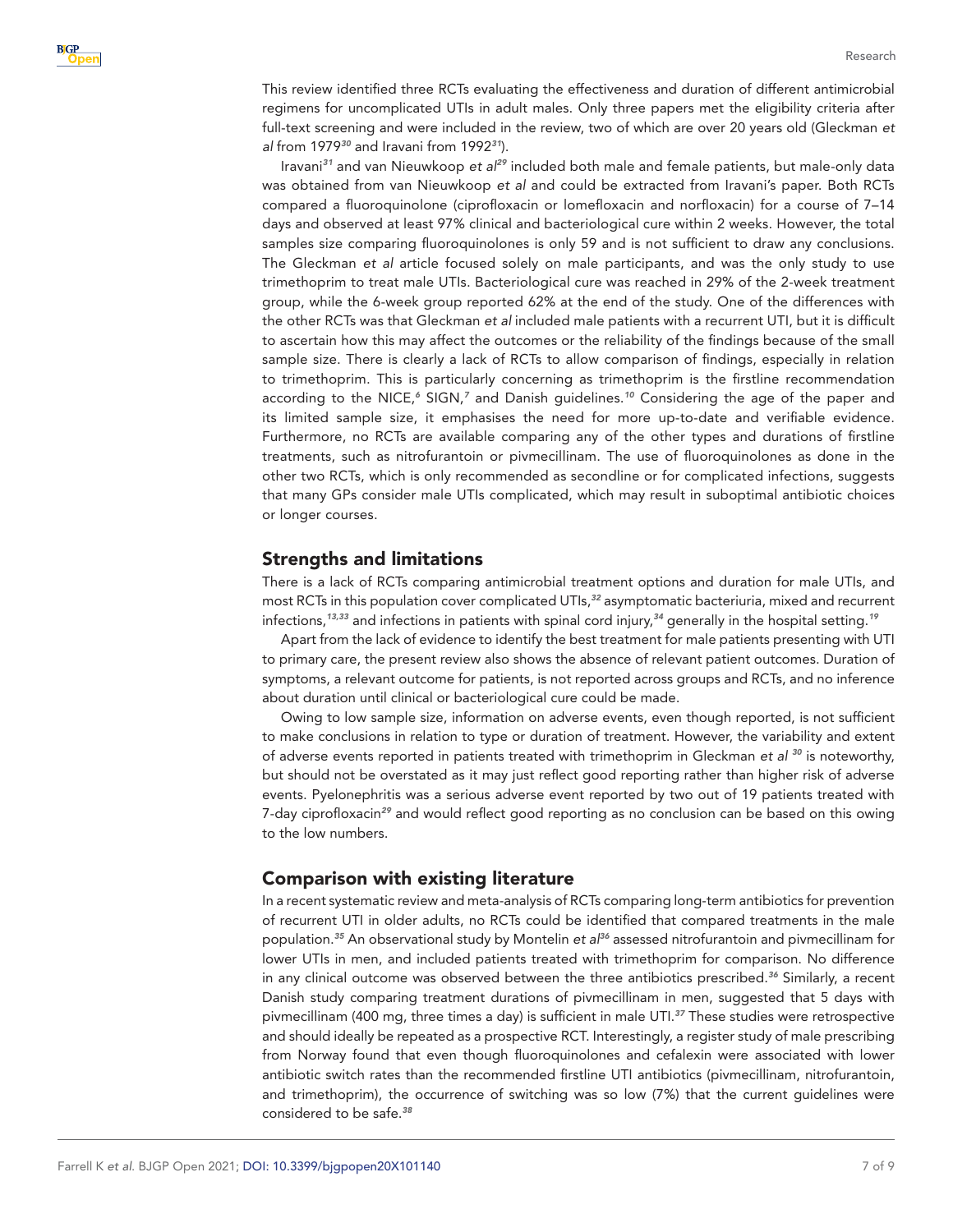This review identified three RCTs evaluating the effectiveness and duration of different antimicrobial regimens for uncomplicated UTIs in adult males. Only three papers met the eligibility criteria after full-text screening and were included in the review, two of which are over 20 years old (Gleckman *et al* from 1979*[30](#page-8-13)* and Iravani from 1992*[31](#page-8-14)*).

Iravani*[31](#page-8-14)* and van Nieuwkoop *et al[29](#page-8-12)* included both male and female patients, but male-only data was obtained from van Nieuwkoop *et al* and could be extracted from Iravani's paper. Both RCTs compared a fluoroquinolone (ciprofloxacin or lomefloxacin and norfloxacin) for a course of 7–14 days and observed at least 97% clinical and bacteriological cure within 2 weeks. However, the total samples size comparing fluoroquinolones is only 59 and is not sufficient to draw any conclusions. The Gleckman *et al* article focused solely on male participants, and was the only study to use trimethoprim to treat male UTIs. Bacteriological cure was reached in 29% of the 2-week treatment group, while the 6-week group reported 62% at the end of the study. One of the differences with the other RCTs was that Gleckman *et al* included male patients with a recurrent UTI, but it is difficult to ascertain how this may affect the outcomes or the reliability of the findings because of the small sample size. There is clearly a lack of RCTs to allow comparison of findings, especially in relation to trimethoprim. This is particularly concerning as trimethoprim is the firstline recommendation according to the NICE,<sup>[6](#page-7-4)</sup> SIGN,<sup>[7](#page-7-6)</sup> and Danish guidelines.<sup>[10](#page-7-7)</sup> Considering the age of the paper and its limited sample size, it emphasises the need for more up-to-date and verifiable evidence. Furthermore, no RCTs are available comparing any of the other types and durations of firstline treatments, such as nitrofurantoin or pivmecillinam. The use of fluoroquinolones as done in the other two RCTs, which is only recommended as secondline or for complicated infections, suggests that many GPs consider male UTIs complicated, which may result in suboptimal antibiotic choices or longer courses.

## Strengths and limitations

There is a lack of RCTs comparing antimicrobial treatment options and duration for male UTIs, and most RCTs in this population cover complicated UTIs,*[32](#page-8-15)* asymptomatic bacteriuria, mixed and recurrent infections,*[13,33](#page-8-0)* and infections in patients with spinal cord injury,*[34](#page-8-16)* generally in the hospital setting.*[19](#page-8-3)*

Apart from the lack of evidence to identify the best treatment for male patients presenting with UTI to primary care, the present review also shows the absence of relevant patient outcomes. Duration of symptoms, a relevant outcome for patients, is not reported across groups and RCTs, and no inference about duration until clinical or bacteriological cure could be made.

Owing to low sample size, information on adverse events, even though reported, is not sufficient to make conclusions in relation to type or duration of treatment. However, the variability and extent of adverse events reported in patients treated with trimethoprim in Gleckman *et al [30](#page-8-13)* is noteworthy, but should not be overstated as it may just reflect good reporting rather than higher risk of adverse events. Pyelonephritis was a serious adverse event reported by two out of 19 patients treated with 7-day ciprofloxacin*[29](#page-8-12)* and would reflect good reporting as no conclusion can be based on this owing to the low numbers.

## Comparison with existing literature

In a recent systematic review and meta-analysis of RCTs comparing long-term antibiotics for prevention of recurrent UTI in older adults, no RCTs could be identified that compared treatments in the male population.*[35](#page-8-17)* An observational study by Montelin *et al[36](#page-8-18)* assessed nitrofurantoin and pivmecillinam for lower UTIs in men, and included patients treated with trimethoprim for comparison. No difference in any clinical outcome was observed between the three antibiotics prescribed.*[36](#page-8-18)* Similarly, a recent Danish study comparing treatment durations of pivmecillinam in men, suggested that 5 days with pivmecillinam (400 mg, three times a day) is sufficient in male UTI.*[37](#page-8-19)* These studies were retrospective and should ideally be repeated as a prospective RCT. Interestingly, a register study of male prescribing from Norway found that even though fluoroquinolones and cefalexin were associated with lower antibiotic switch rates than the recommended firstline UTI antibiotics (pivmecillinam, nitrofurantoin, and trimethoprim), the occurrence of switching was so low (7%) that the current guidelines were considered to be safe.*[38](#page-8-20)*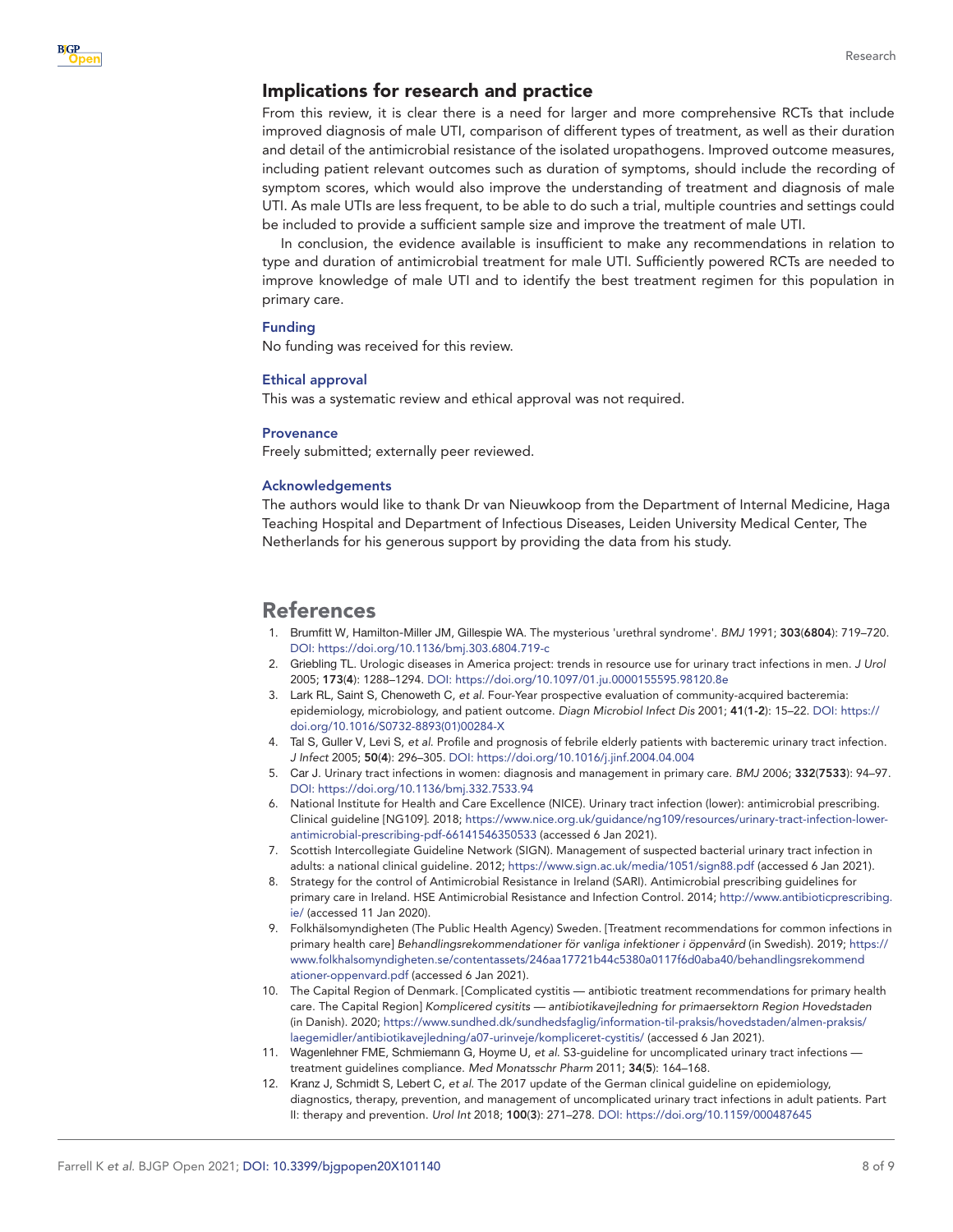## Implications for research and practice

From this review, it is clear there is a need for larger and more comprehensive RCTs that include improved diagnosis of male UTI, comparison of different types of treatment, as well as their duration and detail of the antimicrobial resistance of the isolated uropathogens. Improved outcome measures, including patient relevant outcomes such as duration of symptoms, should include the recording of symptom scores, which would also improve the understanding of treatment and diagnosis of male UTI. As male UTIs are less frequent, to be able to do such a trial, multiple countries and settings could be included to provide a sufficient sample size and improve the treatment of male UTI.

In conclusion, the evidence available is insufficient to make any recommendations in relation to type and duration of antimicrobial treatment for male UTI. Sufficiently powered RCTs are needed to improve knowledge of male UTI and to identify the best treatment regimen for this population in primary care.

#### Funding

No funding was received for this review.

#### Ethical approval

This was a systematic review and ethical approval was not required.

#### **Provenance**

Freely submitted; externally peer reviewed.

#### Acknowledgements

The authors would like to thank Dr van Nieuwkoop from the Department of Internal Medicine, Haga Teaching Hospital and Department of Infectious Diseases, Leiden University Medical Center, The Netherlands for his generous support by providing the data from his study.

## References

- <span id="page-7-0"></span>1. Brumfitt W, Hamilton-Miller JM, Gillespie WA. The mysterious 'urethral syndrome'. *BMJ* 1991; 303(6804): 719–720. DOI:<https://doi.org/10.1136/bmj.303.6804.719-c>
- <span id="page-7-1"></span>2. Griebling TL. Urologic diseases in America project: trends in resource use for urinary tract infections in men. *J Urol* 2005; 173(4): 1288–1294. DOI: <https://doi.org/10.1097/01.ju.0000155595.98120.8e>
- <span id="page-7-2"></span>3. Lark RL, Saint S, Chenoweth C, *et al*. Four-Year prospective evaluation of community-acquired bacteremia: epidemiology, microbiology, and patient outcome. *Diagn Microbiol Infect Dis* 2001; 41(1-2): 15–22. DOI: [https://](https://doi.org/10.1016/S0732-8893(01)00284-X) [doi.org/10.1016/S0732-8893\(01\)00284-X](https://doi.org/10.1016/S0732-8893(01)00284-X)
- 4. Tal S, Guller V, Levi S, *et al*. Profile and prognosis of febrile elderly patients with bacteremic urinary tract infection. *J Infect* 2005; 50(4): 296–305. DOI: <https://doi.org/10.1016/j.jinf.2004.04.004>
- <span id="page-7-3"></span>5. Car J. Urinary tract infections in women: diagnosis and management in primary care. *BMJ* 2006; 332(7533): 94–97. DOI:<https://doi.org/10.1136/bmj.332.7533.94>
- <span id="page-7-4"></span>6. National Institute for Health and Care Excellence (NICE). Urinary tract infection (lower): antimicrobial prescribing. Clinical guideline [NG109]. 2018; [https://www.nice.org.uk/guidance/ng109/resources/urinary-tract-infection-lower](https://www.nice.org.uk/guidance/ng109/resources/urinary-tract-infection-lower-antimicrobial-prescribing-pdf-66141546350533)[antimicrobial-prescribing-pdf-66141546350533](https://www.nice.org.uk/guidance/ng109/resources/urinary-tract-infection-lower-antimicrobial-prescribing-pdf-66141546350533) (accessed 6 Jan 2021).
- <span id="page-7-6"></span>7. Scottish Intercollegiate Guideline Network (SIGN). Management of suspected bacterial urinary tract infection in adults: a national clinical guideline. 2012; <https://www.sign.ac.uk/media/1051/sign88.pdf>(accessed 6 Jan 2021).
- 8. Strategy for the control of Antimicrobial Resistance in Ireland (SARI). Antimicrobial prescribing guidelines for primary care in Ireland. HSE Antimicrobial Resistance and Infection Control. 2014; [http://www.antibioticprescribing.](http://www.antibioticprescribing.ie/) [ie/](http://www.antibioticprescribing.ie/) (accessed 11 Jan 2020).
- <span id="page-7-5"></span>9. Folkhälsomyndigheten (The Public Health Agency) Sweden. [Treatment recommendations for common infections in primary health care] *Behandlingsrekommendationer för vanliga infektioner i öppenvård* (in Swedish). 2019; [https://](https://www.folkhalsomyndigheten.se/contentassets/246aa17721b44c5380a0117f6d0aba40/behandlingsrekommendationer-oppenvard.pdf) [www.folkhalsomyndigheten.se/contentassets/246aa17721b44c5380a0117f6d0aba40/behandlingsrekommend](https://www.folkhalsomyndigheten.se/contentassets/246aa17721b44c5380a0117f6d0aba40/behandlingsrekommendationer-oppenvard.pdf) [ationer-oppenvard.pdf](https://www.folkhalsomyndigheten.se/contentassets/246aa17721b44c5380a0117f6d0aba40/behandlingsrekommendationer-oppenvard.pdf) (accessed 6 Jan 2021).
- <span id="page-7-7"></span>10. The Capital Region of Denmark. [Complicated cystitis — antibiotic treatment recommendations for primary health care. The Capital Region] *Komplicered cysitits — antibiotikavejledning for primaersektorn Region Hovedstaden* (in Danish). 2020; [https://www.sundhed.dk/sundhedsfaglig/information-til-praksis/hovedstaden/almen-praksis/](https://www.sundhed.dk/sundhedsfaglig/information-til-praksis/hovedstaden/almen-praksis/laegemidler/antibiotikavejledning/a07-urinveje/kompliceret-cystitis/) [laegemidler/antibiotikavejledning/a07-urinveje/kompliceret-cystitis/](https://www.sundhed.dk/sundhedsfaglig/information-til-praksis/hovedstaden/almen-praksis/laegemidler/antibiotikavejledning/a07-urinveje/kompliceret-cystitis/) (accessed 6 Jan 2021).
- 11. Wagenlehner FME, Schmiemann G, Hoyme U, *et al*. S3-guideline for uncomplicated urinary tract infections treatment guidelines compliance. *Med Monatsschr Pharm* 2011; 34(5): 164–168.
- 12. Kranz J, Schmidt S, Lebert C, *et al*. The 2017 update of the German clinical guideline on epidemiology, diagnostics, therapy, prevention, and management of uncomplicated urinary tract infections in adult patients. Part II: therapy and prevention. *Urol Int* 2018; 100(3): 271–278. DOI:<https://doi.org/10.1159/000487645>